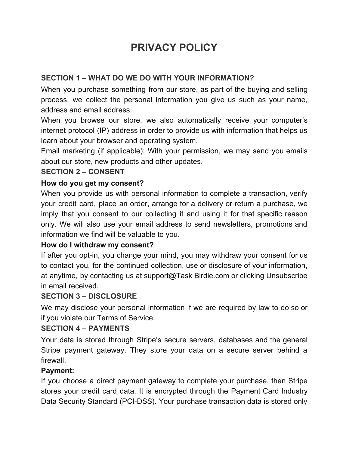# **PRIVACY POLICY**

# **SECTION 1 – WHAT DO WE DO WITH YOUR INFORMATION?**

When you purchase something from our store, as part of the buying and selling process, we collect the personal information you give us such as your name, address and email address.

When you browse our store, we also automatically receive your computer's internet protocol (IP) address in order to provide us with information that helps us learn about your browser and operating system.

Email marketing (if applicable): With your permission, we may send you emails about our store, new products and other updates.

#### **SECTION 2 – CONSENT**

#### **How do you get my consent?**

When you provide us with personal information to complete a transaction, verify your credit card, place an order, arrange for a delivery or return a purchase, we imply that you consent to our collecting it and using it for that specific reason only. We will also use your email address to send newsletters, promotions and information we find will be valuable to you.

#### **How do I withdraw my consent?**

If after you opt-in, you change your mind, you may withdraw your consent for us to contact you, for the continued collection, use or disclosure of your information, at anytime, by contacting us at support@Task Birdie.com or clicking Unsubscribe in email received.

## **SECTION 3 – DISCLOSURE**

We may disclose your personal information if we are required by law to do so or if you violate our Terms of Service.

#### **SECTION 4 – PAYMENTS**

Your data is stored through Stripe's secure servers, databases and the general Stripe payment gateway. They store your data on a secure server behind a firewall.

#### **Payment:**

If you choose a direct payment gateway to complete your purchase, then Stripe stores your credit card data. It is encrypted through the Payment Card Industry Data Security Standard (PCI-DSS). Your purchase transaction data is stored only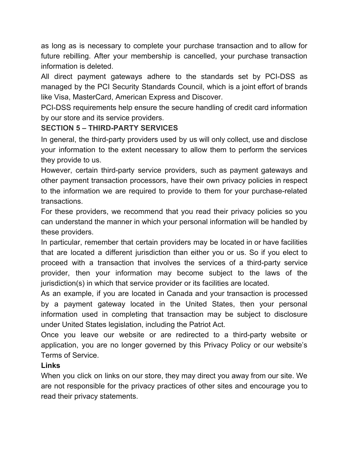as long as is necessary to complete your purchase transaction and to allow for future rebilling. After your membership is cancelled, your purchase transaction information is deleted.

All direct payment gateways adhere to the standards set by PCI-DSS as managed by the PCI Security Standards Council, which is a joint effort of brands like Visa, MasterCard, American Express and Discover.

PCI-DSS requirements help ensure the secure handling of credit card information by our store and its service providers.

## **SECTION 5 – THIRD-PARTY SERVICES**

In general, the third-party providers used by us will only collect, use and disclose your information to the extent necessary to allow them to perform the services they provide to us.

However, certain third-party service providers, such as payment gateways and other payment transaction processors, have their own privacy policies in respect to the information we are required to provide to them for your purchase-related transactions.

For these providers, we recommend that you read their privacy policies so you can understand the manner in which your personal information will be handled by these providers.

In particular, remember that certain providers may be located in or have facilities that are located a different jurisdiction than either you or us. So if you elect to proceed with a transaction that involves the services of a third-party service provider, then your information may become subject to the laws of the jurisdiction(s) in which that service provider or its facilities are located.

As an example, if you are located in Canada and your transaction is processed by a payment gateway located in the United States, then your personal information used in completing that transaction may be subject to disclosure under United States legislation, including the Patriot Act.

Once you leave our website or are redirected to a third-party website or application, you are no longer governed by this Privacy Policy or our website's Terms of Service.

## **Links**

When you click on links on our store, they may direct you away from our site. We are not responsible for the privacy practices of other sites and encourage you to read their privacy statements.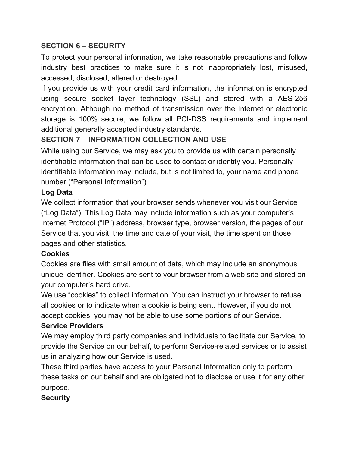## **SECTION 6 – SECURITY**

To protect your personal information, we take reasonable precautions and follow industry best practices to make sure it is not inappropriately lost, misused, accessed, disclosed, altered or destroyed.

If you provide us with your credit card information, the information is encrypted using secure socket layer technology (SSL) and stored with a AES-256 encryption. Although no method of transmission over the Internet or electronic storage is 100% secure, we follow all PCI-DSS requirements and implement additional generally accepted industry standards.

# **SECTION 7 – INFORMATION COLLECTION AND USE**

While using our Service, we may ask you to provide us with certain personally identifiable information that can be used to contact or identify you. Personally identifiable information may include, but is not limited to, your name and phone number ("Personal Information").

## **Log Data**

We collect information that your browser sends whenever you visit our Service ("Log Data"). This Log Data may include information such as your computer's Internet Protocol ("IP") address, browser type, browser version, the pages of our Service that you visit, the time and date of your visit, the time spent on those pages and other statistics.

## **Cookies**

Cookies are files with small amount of data, which may include an anonymous unique identifier. Cookies are sent to your browser from a web site and stored on your computer's hard drive.

We use "cookies" to collect information. You can instruct your browser to refuse all cookies or to indicate when a cookie is being sent. However, if you do not accept cookies, you may not be able to use some portions of our Service.

#### **Service Providers**

We may employ third party companies and individuals to facilitate our Service, to provide the Service on our behalf, to perform Service-related services or to assist us in analyzing how our Service is used.

These third parties have access to your Personal Information only to perform these tasks on our behalf and are obligated not to disclose or use it for any other purpose.

## **Security**